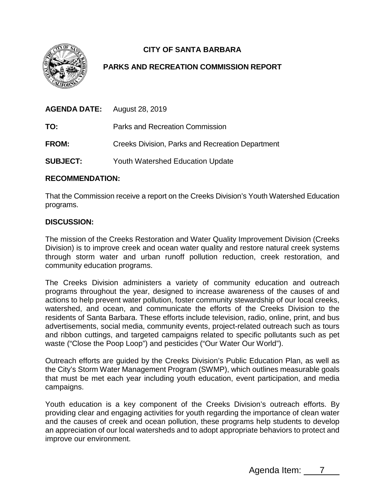

# **CITY OF SANTA BARBARA**

## **PARKS AND RECREATION COMMISSION REPORT**

| <b>AGENDA DATE:</b> August 28, 2019 |                                                         |
|-------------------------------------|---------------------------------------------------------|
| TO:                                 | Parks and Recreation Commission                         |
| FROM:                               | <b>Creeks Division, Parks and Recreation Department</b> |
| <b>SUBJECT:</b>                     | <b>Youth Watershed Education Update</b>                 |

### **RECOMMENDATION:**

That the Commission receive a report on the Creeks Division's Youth Watershed Education programs.

## **DISCUSSION:**

The mission of the Creeks Restoration and Water Quality Improvement Division (Creeks Division) is to improve creek and ocean water quality and restore natural creek systems through storm water and urban runoff pollution reduction, creek restoration, and community education programs.

The Creeks Division administers a variety of community education and outreach programs throughout the year, designed to increase awareness of the causes of and actions to help prevent water pollution, foster community stewardship of our local creeks, watershed, and ocean, and communicate the efforts of the Creeks Division to the residents of Santa Barbara. These efforts include television, radio, online, print, and bus advertisements, social media, community events, project-related outreach such as tours and ribbon cuttings, and targeted campaigns related to specific pollutants such as pet waste ("Close the Poop Loop") and pesticides ("Our Water Our World").

Outreach efforts are guided by the Creeks Division's Public Education Plan, as well as the City's Storm Water Management Program (SWMP), which outlines measurable goals that must be met each year including youth education, event participation, and media campaigns.

Youth education is a key component of the Creeks Division's outreach efforts. By providing clear and engaging activities for youth regarding the importance of clean water and the causes of creek and ocean pollution, these programs help students to develop an appreciation of our local watersheds and to adopt appropriate behaviors to protect and improve our environment.

Agenda Item: 7